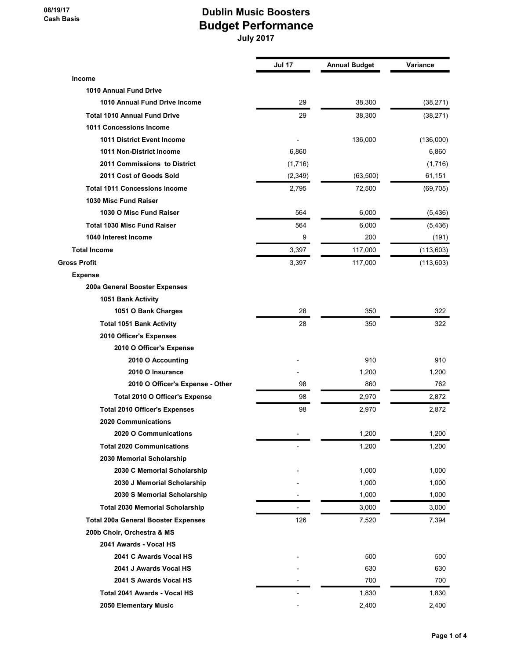08/19/17 Cash Basis

## Dublin Music Boosters Budget Performance July 2017

|                                            | <b>Jul 17</b>            | <b>Annual Budget</b> | <b>Variance</b> |
|--------------------------------------------|--------------------------|----------------------|-----------------|
| <b>Income</b>                              |                          |                      |                 |
| 1010 Annual Fund Drive                     |                          |                      |                 |
| 1010 Annual Fund Drive Income              | 29                       | 38,300               | (38, 271)       |
| <b>Total 1010 Annual Fund Drive</b>        | 29                       | 38,300               | (38, 271)       |
| 1011 Concessions Income                    |                          |                      |                 |
| <b>1011 District Event Income</b>          |                          | 136,000              | (136,000)       |
| 1011 Non-District Income                   | 6,860                    |                      | 6,860           |
| 2011 Commissions to District               | (1,716)                  |                      | (1,716)         |
| 2011 Cost of Goods Sold                    | (2, 349)                 | (63, 500)            | 61,151          |
| <b>Total 1011 Concessions Income</b>       | 2,795                    | 72,500               | (69, 705)       |
| 1030 Misc Fund Raiser                      |                          |                      |                 |
| 1030 O Misc Fund Raiser                    | 564                      | 6,000                | (5, 436)        |
| <b>Total 1030 Misc Fund Raiser</b>         | 564                      | 6,000                | (5, 436)        |
| 1040 Interest Income                       | 9                        | 200                  | (191)           |
| <b>Total Income</b>                        | 3,397                    | 117,000              | (113, 603)      |
| <b>Gross Profit</b>                        | 3,397                    | 117,000              | (113, 603)      |
| <b>Expense</b>                             |                          |                      |                 |
| 200a General Booster Expenses              |                          |                      |                 |
| 1051 Bank Activity                         |                          |                      |                 |
| 1051 O Bank Charges                        | 28                       | 350                  | 322             |
| <b>Total 1051 Bank Activity</b>            | 28                       | 350                  | 322             |
| 2010 Officer's Expenses                    |                          |                      |                 |
| 2010 O Officer's Expense                   |                          |                      |                 |
| 2010 O Accounting                          |                          | 910                  | 910             |
| 2010 O Insurance                           |                          | 1,200                | 1,200           |
| 2010 O Officer's Expense - Other           | 98                       | 860                  | 762             |
| Total 2010 O Officer's Expense             | 98                       | 2,970                | 2,872           |
| <b>Total 2010 Officer's Expenses</b>       | 98                       | 2,970                | 2,872           |
| 2020 Communications                        |                          |                      |                 |
| 2020 O Communications                      |                          | 1,200                | 1,200           |
| <b>Total 2020 Communications</b>           |                          | 1,200                | 1,200           |
| 2030 Memorial Scholarship                  |                          |                      |                 |
| 2030 C Memorial Scholarship                |                          | 1,000                | 1,000           |
| 2030 J Memorial Scholarship                |                          | 1,000                | 1,000           |
| 2030 S Memorial Scholarship                |                          | 1,000                | 1,000           |
| <b>Total 2030 Memorial Scholarship</b>     | $\overline{\phantom{a}}$ | 3,000                | 3,000           |
| <b>Total 200a General Booster Expenses</b> | 126                      | 7,520                | 7,394           |
| 200b Choir, Orchestra & MS                 |                          |                      |                 |
| 2041 Awards - Vocal HS                     |                          |                      |                 |
| 2041 C Awards Vocal HS                     |                          | 500                  | 500             |
| 2041 J Awards Vocal HS                     |                          | 630                  | 630             |
| 2041 S Awards Vocal HS                     |                          | 700                  | 700             |
| Total 2041 Awards - Vocal HS               | $\blacksquare$           | 1,830                | 1,830           |
| 2050 Elementary Music                      |                          | 2,400                | 2,400           |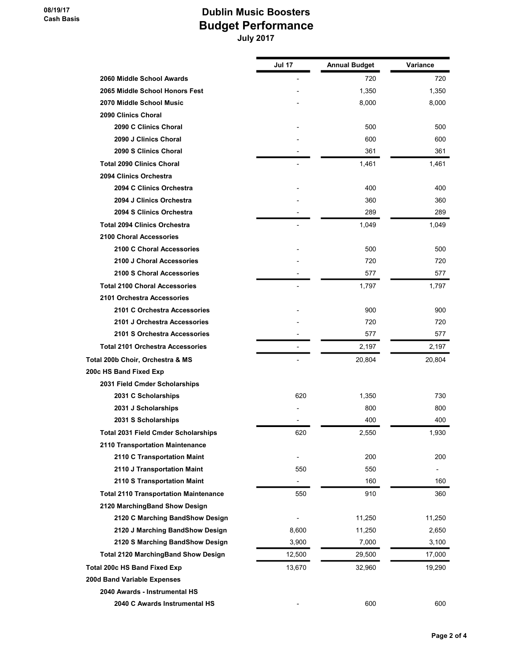## Dublin Music Boosters Budget Performance July 2017

|                                              | Jul 17                   | <b>Annual Budget</b> | Variance                 |
|----------------------------------------------|--------------------------|----------------------|--------------------------|
| 2060 Middle School Awards                    |                          | 720                  | 720                      |
| 2065 Middle School Honors Fest               |                          | 1,350                | 1,350                    |
| 2070 Middle School Music                     |                          | 8,000                | 8,000                    |
| 2090 Clinics Choral                          |                          |                      |                          |
| 2090 C Clinics Choral                        |                          | 500                  | 500                      |
| 2090 J Clinics Choral                        |                          | 600                  | 600                      |
| 2090 S Clinics Choral                        |                          | 361                  | 361                      |
| <b>Total 2090 Clinics Choral</b>             |                          | 1,461                | 1,461                    |
| 2094 Clinics Orchestra                       |                          |                      |                          |
| 2094 C Clinics Orchestra                     |                          | 400                  | 400                      |
| 2094 J Clinics Orchestra                     |                          | 360                  | 360                      |
| 2094 S Clinics Orchestra                     |                          | 289                  | 289                      |
| <b>Total 2094 Clinics Orchestra</b>          | $\overline{\phantom{a}}$ | 1,049                | 1,049                    |
| 2100 Choral Accessories                      |                          |                      |                          |
| 2100 C Choral Accessories                    |                          | 500                  | 500                      |
| 2100 J Choral Accessories                    |                          | 720                  | 720                      |
| 2100 S Choral Accessories                    |                          | 577                  | 577                      |
| <b>Total 2100 Choral Accessories</b>         |                          | 1,797                | 1,797                    |
| 2101 Orchestra Accessories                   |                          |                      |                          |
| 2101 C Orchestra Accessories                 |                          | 900                  | 900                      |
| 2101 J Orchestra Accessories                 |                          | 720                  | 720                      |
| 2101 S Orchestra Accessories                 |                          | 577                  | 577                      |
| <b>Total 2101 Orchestra Accessories</b>      |                          | 2,197                | 2,197                    |
| Total 200b Choir, Orchestra & MS             |                          | 20,804               | 20,804                   |
| 200c HS Band Fixed Exp                       |                          |                      |                          |
| 2031 Field Cmder Scholarships                |                          |                      |                          |
| 2031 C Scholarships                          | 620                      | 1,350                | 730                      |
| 2031 J Scholarships                          |                          | 800                  | 800                      |
| 2031 S Scholarships                          |                          | 400                  | 400                      |
| <b>Total 2031 Field Cmder Scholarships</b>   | 620                      | 2,550                | 1,930                    |
| 2110 Transportation Maintenance              |                          |                      |                          |
| 2110 C Transportation Maint                  |                          | 200                  | 200                      |
| 2110 J Transportation Maint                  | 550                      | 550                  | $\overline{\phantom{a}}$ |
| 2110 S Transportation Maint                  | $\overline{\phantom{a}}$ | 160                  | 160                      |
| <b>Total 2110 Transportation Maintenance</b> | 550                      | 910                  | 360                      |
| 2120 MarchingBand Show Design                |                          |                      |                          |
| 2120 C Marching BandShow Design              |                          | 11,250               | 11,250                   |
| 2120 J Marching BandShow Design              | 8,600                    | 11,250               | 2,650                    |
| 2120 S Marching BandShow Design              | 3,900                    | 7,000                | 3,100                    |
| <b>Total 2120 MarchingBand Show Design</b>   | 12,500                   | 29,500               | 17,000                   |
| <b>Total 200c HS Band Fixed Exp</b>          | 13,670                   | 32,960               | 19,290                   |
| 200d Band Variable Expenses                  |                          |                      |                          |
| 2040 Awards - Instrumental HS                |                          |                      |                          |
| 2040 C Awards Instrumental HS                |                          | 600                  | 600                      |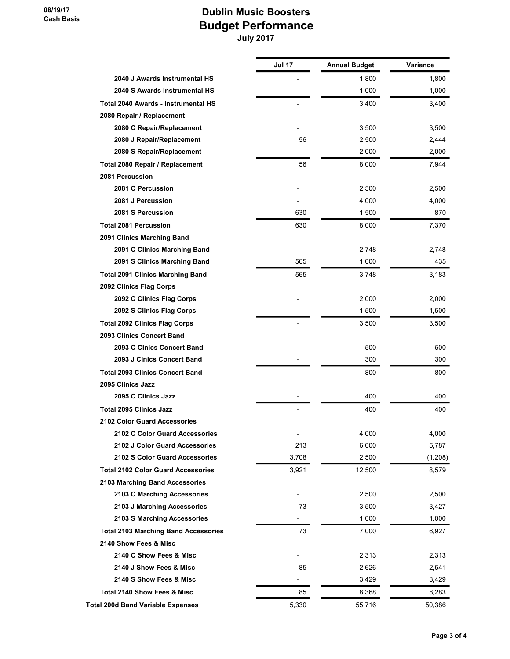## Dublin Music Boosters Budget Performance July 2017

|                                             | Jul 17 | <b>Annual Budget</b> | Variance |
|---------------------------------------------|--------|----------------------|----------|
| 2040 J Awards Instrumental HS               |        | 1,800                | 1,800    |
| 2040 S Awards Instrumental HS               |        | 1,000                | 1,000    |
| Total 2040 Awards - Instrumental HS         |        | 3,400                | 3,400    |
| 2080 Repair / Replacement                   |        |                      |          |
| 2080 C Repair/Replacement                   |        | 3,500                | 3,500    |
| 2080 J Repair/Replacement                   | 56     | 2,500                | 2,444    |
| 2080 S Repair/Replacement                   |        | 2,000                | 2,000    |
| Total 2080 Repair / Replacement             | 56     | 8,000                | 7,944    |
| 2081 Percussion                             |        |                      |          |
| 2081 C Percussion                           |        | 2,500                | 2,500    |
| 2081 J Percussion                           |        | 4,000                | 4,000    |
| 2081 S Percussion                           | 630    | 1,500                | 870      |
| <b>Total 2081 Percussion</b>                | 630    | 8,000                | 7,370    |
| 2091 Clinics Marching Band                  |        |                      |          |
| 2091 C Clinics Marching Band                |        | 2,748                | 2,748    |
| 2091 S Clinics Marching Band                | 565    | 1,000                | 435      |
| <b>Total 2091 Clinics Marching Band</b>     | 565    | 3,748                | 3,183    |
| 2092 Clinics Flag Corps                     |        |                      |          |
| 2092 C Clinics Flag Corps                   |        | 2,000                | 2,000    |
| 2092 S Clinics Flag Corps                   |        | 1,500                | 1,500    |
| <b>Total 2092 Clinics Flag Corps</b>        |        | 3,500                | 3,500    |
| 2093 Clinics Concert Band                   |        |                      |          |
| 2093 C Cinics Concert Band                  |        | 500                  | 500      |
| 2093 J Cinics Concert Band                  |        | 300                  | 300      |
| <b>Total 2093 Clinics Concert Band</b>      |        | 800                  | 800      |
| 2095 Clinics Jazz                           |        |                      |          |
| 2095 C Clinics Jazz                         |        | 400                  | 400      |
| <b>Total 2095 Clinics Jazz</b>              |        | 400                  | 400      |
| <b>2102 Color Guard Accessories</b>         |        |                      |          |
| 2102 C Color Guard Accessories              |        | 4,000                | 4,000    |
| 2102 J Color Guard Accessories              | 213    | 6,000                | 5,787    |
| 2102 S Color Guard Accessories              | 3,708  | 2,500                | (1,208)  |
| <b>Total 2102 Color Guard Accessories</b>   | 3,921  | 12,500               | 8,579    |
| 2103 Marching Band Accessories              |        |                      |          |
| 2103 C Marching Accessories                 |        | 2,500                | 2,500    |
| 2103 J Marching Accessories                 | 73     | 3,500                | 3,427    |
| 2103 S Marching Accessories                 |        | 1,000                | 1,000    |
| <b>Total 2103 Marching Band Accessories</b> | 73     | 7,000                | 6,927    |
| 2140 Show Fees & Misc                       |        |                      |          |
| 2140 C Show Fees & Misc                     |        | 2,313                | 2,313    |
| 2140 J Show Fees & Misc                     | 85     | 2,626                | 2,541    |
| 2140 S Show Fees & Misc                     | -      | 3,429                | 3,429    |
| <b>Total 2140 Show Fees &amp; Misc</b>      | 85     | 8,368                | 8,283    |
| <b>Total 200d Band Variable Expenses</b>    | 5,330  | 55,716               | 50,386   |
|                                             |        |                      |          |